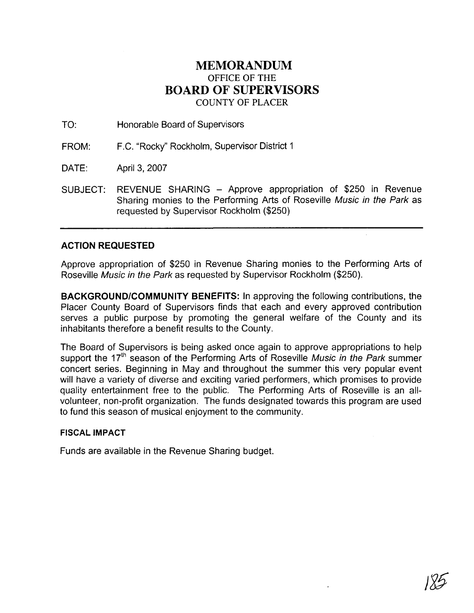## **MEMORANDUM**  OFFICE OF THE **BOARD OF SUPERVISORS**  COUNTY OF PLACER

- TO: Honorable Board of Supervisors
- FROM: F.C. "Rocky" Rockholm, Supervisor District 1
- DATE: April 3, 2007
- SUBJECT: REVENUE SHARING Approve appropriation of \$250 in Revenue Sharing monies to the Performing Arts of Roseville Music in the Park as requested by Supervisor Rockholm (\$250)

## **ACTION REQUESTED**

Approve appropriation of \$250 in Revenue Sharing monies to the Performing Arts of Roseville Music in the Park as requested by Supervisor Rockholm (\$250).

**BACKGROUNDICOMMUNITY BENEFITS:** In approving the following contributions, the Placer County Board of Supervisors finds that each and every approved contribution serves a public purpose by promoting the general welfare of the County and its inhabitants therefore a benefit results to the County.

The Board of Supervisors is being asked once again to approve appropriations to help support the  $17<sup>th</sup>$  season of the Performing Arts of Roseville Music in the Park summer concert series. Beginning in May and throughout the summer this very popular event will have a variety of diverse and exciting varied performers, which promises to provide quality entertainment free to the public. The Performing Arts of Roseville is an allvolunteer, non-profit organization. The funds designated towards this program are used to fund this season of musical enjoyment to the community.

## **FISCAL IMPACT**

Funds are available in the Revenue Sharing budget.